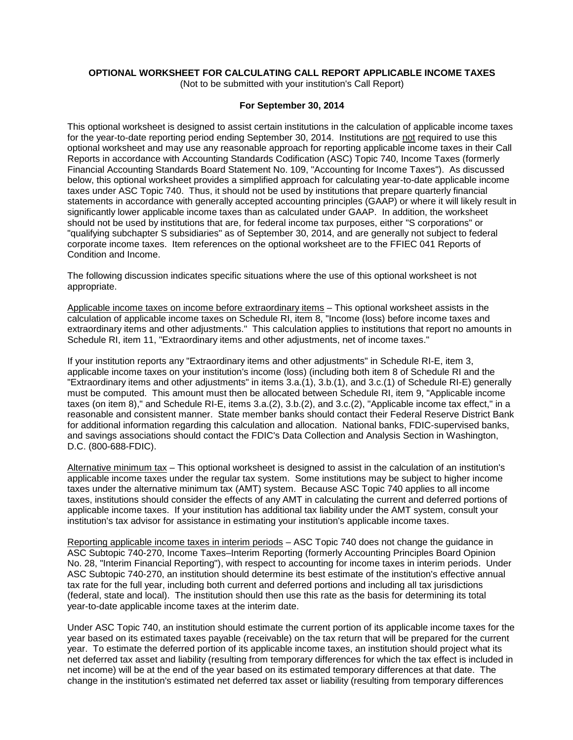# **OPTIONAL WORKSHEET FOR CALCULATING CALL REPORT APPLICABLE INCOME TAXES**

(Not to be submitted with your institution's Call Report)

# **For September 30, 2014**

This optional worksheet is designed to assist certain institutions in the calculation of applicable income taxes for the year-to-date reporting period ending September 30, 2014. Institutions are not required to use this optional worksheet and may use any reasonable approach for reporting applicable income taxes in their Call Reports in accordance with Accounting Standards Codification (ASC) Topic 740, Income Taxes (formerly Financial Accounting Standards Board Statement No. 109, "Accounting for Income Taxes"). As discussed below, this optional worksheet provides a simplified approach for calculating year-to-date applicable income taxes under ASC Topic 740. Thus, it should not be used by institutions that prepare quarterly financial statements in accordance with generally accepted accounting principles (GAAP) or where it will likely result in significantly lower applicable income taxes than as calculated under GAAP. In addition, the worksheet should not be used by institutions that are, for federal income tax purposes, either "S corporations" or "qualifying subchapter S subsidiaries" as of September 30, 2014, and are generally not subject to federal corporate income taxes. Item references on the optional worksheet are to the FFIEC 041 Reports of Condition and Income.

The following discussion indicates specific situations where the use of this optional worksheet is not appropriate.

Applicable income taxes on income before extraordinary items – This optional worksheet assists in the calculation of applicable income taxes on Schedule RI, item 8, "Income (loss) before income taxes and extraordinary items and other adjustments." This calculation applies to institutions that report no amounts in Schedule RI, item 11, "Extraordinary items and other adjustments, net of income taxes."

If your institution reports any "Extraordinary items and other adjustments" in Schedule RI-E, item 3, applicable income taxes on your institution's income (loss) (including both item 8 of Schedule RI and the "Extraordinary items and other adjustments" in items 3.a.(1), 3.b.(1), and 3.c.(1) of Schedule RI-E) generally must be computed. This amount must then be allocated between Schedule RI, item 9, "Applicable income taxes (on item 8)," and Schedule RI-E, items 3.a.(2), 3.b.(2), and 3.c.(2), "Applicable income tax effect," in a reasonable and consistent manner. State member banks should contact their Federal Reserve District Bank for additional information regarding this calculation and allocation. National banks, FDIC-supervised banks, and savings associations should contact the FDIC's Data Collection and Analysis Section in Washington, D.C. (800-688-FDIC).

Alternative minimum tax – This optional worksheet is designed to assist in the calculation of an institution's applicable income taxes under the regular tax system. Some institutions may be subject to higher income taxes under the alternative minimum tax (AMT) system. Because ASC Topic 740 applies to all income taxes, institutions should consider the effects of any AMT in calculating the current and deferred portions of applicable income taxes. If your institution has additional tax liability under the AMT system, consult your institution's tax advisor for assistance in estimating your institution's applicable income taxes.

Reporting applicable income taxes in interim periods – ASC Topic 740 does not change the guidance in ASC Subtopic 740-270, Income Taxes–Interim Reporting (formerly Accounting Principles Board Opinion No. 28, "Interim Financial Reporting"), with respect to accounting for income taxes in interim periods. Under ASC Subtopic 740-270, an institution should determine its best estimate of the institution's effective annual tax rate for the full year, including both current and deferred portions and including all tax jurisdictions (federal, state and local). The institution should then use this rate as the basis for determining its total year-to-date applicable income taxes at the interim date.

Under ASC Topic 740, an institution should estimate the current portion of its applicable income taxes for the year based on its estimated taxes payable (receivable) on the tax return that will be prepared for the current year. To estimate the deferred portion of its applicable income taxes, an institution should project what its net deferred tax asset and liability (resulting from temporary differences for which the tax effect is included in net income) will be at the end of the year based on its estimated temporary differences at that date. The change in the institution's estimated net deferred tax asset or liability (resulting from temporary differences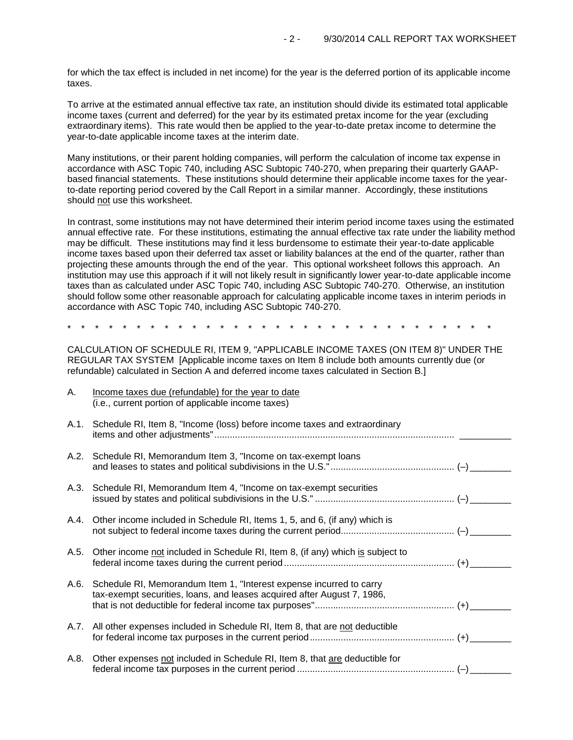for which the tax effect is included in net income) for the year is the deferred portion of its applicable income taxes.

To arrive at the estimated annual effective tax rate, an institution should divide its estimated total applicable income taxes (current and deferred) for the year by its estimated pretax income for the year (excluding extraordinary items). This rate would then be applied to the year-to-date pretax income to determine the year-to-date applicable income taxes at the interim date.

Many institutions, or their parent holding companies, will perform the calculation of income tax expense in accordance with ASC Topic 740, including ASC Subtopic 740-270, when preparing their quarterly GAAPbased financial statements. These institutions should determine their applicable income taxes for the yearto-date reporting period covered by the Call Report in a similar manner. Accordingly, these institutions should not use this worksheet.

In contrast, some institutions may not have determined their interim period income taxes using the estimated annual effective rate. For these institutions, estimating the annual effective tax rate under the liability method may be difficult. These institutions may find it less burdensome to estimate their year-to-date applicable income taxes based upon their deferred tax asset or liability balances at the end of the quarter, rather than projecting these amounts through the end of the year. This optional worksheet follows this approach. An institution may use this approach if it will not likely result in significantly lower year-to-date applicable income taxes than as calculated under ASC Topic 740, including ASC Subtopic 740-270. Otherwise, an institution should follow some other reasonable approach for calculating applicable income taxes in interim periods in accordance with ASC Topic 740, including ASC Subtopic 740-270.

\* \* \* \* \* \* \* \* \* \* \* \* \* \* \* \* \* \* \* \* \* \* \* \* \* \* \* \* \* \* \*

CALCULATION OF SCHEDULE RI, ITEM 9, "APPLICABLE INCOME TAXES (ON ITEM 8)" UNDER THE REGULAR TAX SYSTEM [Applicable income taxes on Item 8 include both amounts currently due (or refundable) calculated in Section A and deferred income taxes calculated in Section B.]

| А.   | Income taxes due (refundable) for the year to date<br>(i.e., current portion of applicable income taxes)                                       |  |
|------|------------------------------------------------------------------------------------------------------------------------------------------------|--|
| A.1. | Schedule RI, Item 8, "Income (loss) before income taxes and extraordinary                                                                      |  |
|      | A.2. Schedule RI, Memorandum Item 3, "Income on tax-exempt loans                                                                               |  |
|      | A.3. Schedule RI, Memorandum Item 4, "Income on tax-exempt securities                                                                          |  |
|      | A.4. Other income included in Schedule RI, Items 1, 5, and 6, (if any) which is                                                                |  |
| A.5. | Other income not included in Schedule RI, Item 8, (if any) which is subject to                                                                 |  |
| A.6. | Schedule RI, Memorandum Item 1, "Interest expense incurred to carry<br>tax-exempt securities, loans, and leases acquired after August 7, 1986, |  |
|      | A.7. All other expenses included in Schedule RI, Item 8, that are not deductible                                                               |  |
| A.8. | Other expenses not included in Schedule RI, Item 8, that are deductible for                                                                    |  |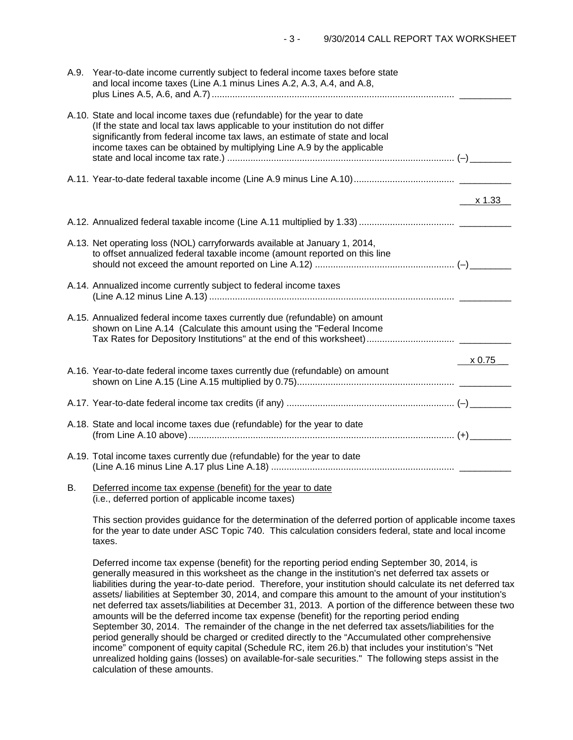|    | A.9. Year-to-date income currently subject to federal income taxes before state<br>and local income taxes (Line A.1 minus Lines A.2, A.3, A.4, and A.8,                                                                                                                                                           |           |
|----|-------------------------------------------------------------------------------------------------------------------------------------------------------------------------------------------------------------------------------------------------------------------------------------------------------------------|-----------|
|    | A.10. State and local income taxes due (refundable) for the year to date<br>(If the state and local tax laws applicable to your institution do not differ<br>significantly from federal income tax laws, an estimate of state and local<br>income taxes can be obtained by multiplying Line A.9 by the applicable |           |
|    |                                                                                                                                                                                                                                                                                                                   |           |
|    |                                                                                                                                                                                                                                                                                                                   | _x 1.33__ |
|    |                                                                                                                                                                                                                                                                                                                   |           |
|    | A.13. Net operating loss (NOL) carryforwards available at January 1, 2014,<br>to offset annualized federal taxable income (amount reported on this line                                                                                                                                                           |           |
|    | A.14. Annualized income currently subject to federal income taxes                                                                                                                                                                                                                                                 |           |
|    | A.15. Annualized federal income taxes currently due (refundable) on amount<br>shown on Line A.14 (Calculate this amount using the "Federal Income                                                                                                                                                                 |           |
|    |                                                                                                                                                                                                                                                                                                                   | x 0.75    |
|    | A.16. Year-to-date federal income taxes currently due (refundable) on amount                                                                                                                                                                                                                                      |           |
|    |                                                                                                                                                                                                                                                                                                                   |           |
|    | A.18. State and local income taxes due (refundable) for the year to date                                                                                                                                                                                                                                          |           |
|    | A.19. Total income taxes currently due (refundable) for the year to date                                                                                                                                                                                                                                          |           |
| Β. | Deferred income tax expense (benefit) for the year to date                                                                                                                                                                                                                                                        |           |

(i.e., deferred portion of applicable income taxes)

This section provides guidance for the determination of the deferred portion of applicable income taxes for the year to date under ASC Topic 740. This calculation considers federal, state and local income taxes.

Deferred income tax expense (benefit) for the reporting period ending September 30, 2014, is generally measured in this worksheet as the change in the institution's net deferred tax assets or liabilities during the year-to-date period. Therefore, your institution should calculate its net deferred tax assets/ liabilities at September 30, 2014, and compare this amount to the amount of your institution's net deferred tax assets/liabilities at December 31, 2013. A portion of the difference between these two amounts will be the deferred income tax expense (benefit) for the reporting period ending September 30, 2014. The remainder of the change in the net deferred tax assets/liabilities for the period generally should be charged or credited directly to the "Accumulated other comprehensive income" component of equity capital (Schedule RC, item 26.b) that includes your institution's "Net unrealized holding gains (losses) on available-for-sale securities." The following steps assist in the calculation of these amounts.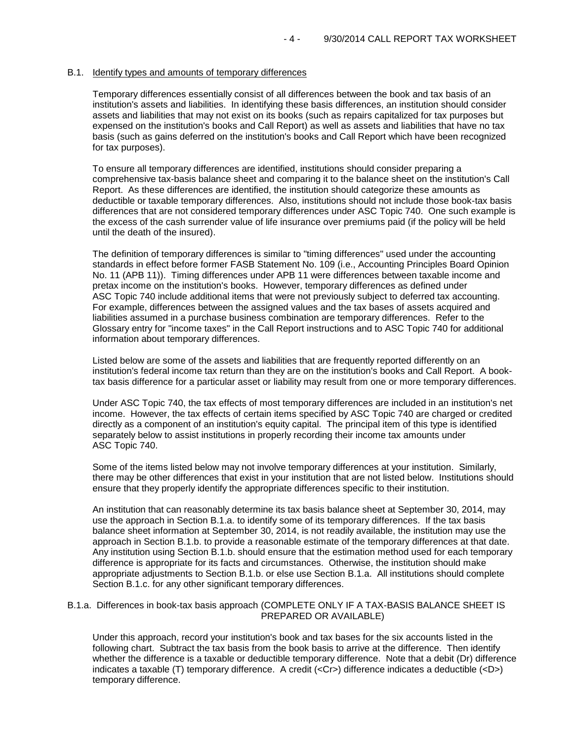# B.1. Identify types and amounts of temporary differences

Temporary differences essentially consist of all differences between the book and tax basis of an institution's assets and liabilities. In identifying these basis differences, an institution should consider assets and liabilities that may not exist on its books (such as repairs capitalized for tax purposes but expensed on the institution's books and Call Report) as well as assets and liabilities that have no tax basis (such as gains deferred on the institution's books and Call Report which have been recognized for tax purposes).

To ensure all temporary differences are identified, institutions should consider preparing a comprehensive tax-basis balance sheet and comparing it to the balance sheet on the institution's Call Report. As these differences are identified, the institution should categorize these amounts as deductible or taxable temporary differences. Also, institutions should not include those book-tax basis differences that are not considered temporary differences under ASC Topic 740. One such example is the excess of the cash surrender value of life insurance over premiums paid (if the policy will be held until the death of the insured).

The definition of temporary differences is similar to "timing differences" used under the accounting standards in effect before former FASB Statement No. 109 (i.e., Accounting Principles Board Opinion No. 11 (APB 11)). Timing differences under APB 11 were differences between taxable income and pretax income on the institution's books. However, temporary differences as defined under ASC Topic 740 include additional items that were not previously subject to deferred tax accounting. For example, differences between the assigned values and the tax bases of assets acquired and liabilities assumed in a purchase business combination are temporary differences. Refer to the Glossary entry for "income taxes" in the Call Report instructions and to ASC Topic 740 for additional information about temporary differences.

Listed below are some of the assets and liabilities that are frequently reported differently on an institution's federal income tax return than they are on the institution's books and Call Report. A booktax basis difference for a particular asset or liability may result from one or more temporary differences.

Under ASC Topic 740, the tax effects of most temporary differences are included in an institution's net income. However, the tax effects of certain items specified by ASC Topic 740 are charged or credited directly as a component of an institution's equity capital. The principal item of this type is identified separately below to assist institutions in properly recording their income tax amounts under ASC Topic 740.

Some of the items listed below may not involve temporary differences at your institution. Similarly, there may be other differences that exist in your institution that are not listed below. Institutions should ensure that they properly identify the appropriate differences specific to their institution.

An institution that can reasonably determine its tax basis balance sheet at September 30, 2014, may use the approach in Section B.1.a. to identify some of its temporary differences. If the tax basis balance sheet information at September 30, 2014, is not readily available, the institution may use the approach in Section B.1.b. to provide a reasonable estimate of the temporary differences at that date. Any institution using Section B.1.b. should ensure that the estimation method used for each temporary difference is appropriate for its facts and circumstances. Otherwise, the institution should make appropriate adjustments to Section B.1.b. or else use Section B.1.a. All institutions should complete Section B.1.c. for any other significant temporary differences.

# B.1.a. Differences in book-tax basis approach (COMPLETE ONLY IF A TAX-BASIS BALANCE SHEET IS PREPARED OR AVAILABLE)

Under this approach, record your institution's book and tax bases for the six accounts listed in the following chart. Subtract the tax basis from the book basis to arrive at the difference. Then identify whether the difference is a taxable or deductible temporary difference. Note that a debit (Dr) difference indicates a taxable (T) temporary difference. A credit (<Cr>) difference indicates a deductible (<D>) temporary difference.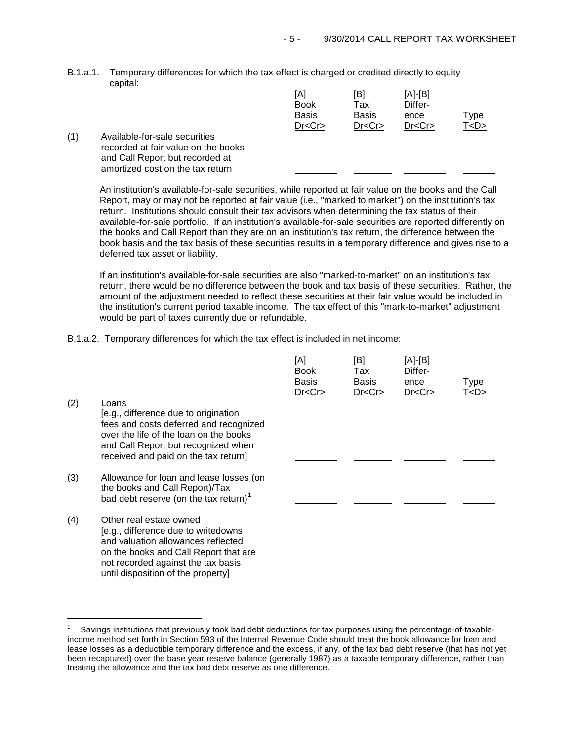B.1.a.1. Temporary differences for which the tax effect is charged or credited directly to equity capital:

|     |                                                                                                                                             | [A]<br><b>Book</b><br><b>Basis</b><br>Dr < Cr | [B]<br>Tax<br><b>Basis</b><br>Dr < Cr | $[A]-[B]$<br>Differ-<br>ence<br>Dr < Cr | Type<br>T < D > |
|-----|---------------------------------------------------------------------------------------------------------------------------------------------|-----------------------------------------------|---------------------------------------|-----------------------------------------|-----------------|
| (1) | Available-for-sale securities<br>recorded at fair value on the books<br>and Call Report but recorded at<br>amortized cost on the tax return |                                               |                                       |                                         |                 |

An institution's available-for-sale securities, while reported at fair value on the books and the Call Report, may or may not be reported at fair value (i.e., "marked to market") on the institution's tax return. Institutions should consult their tax advisors when determining the tax status of their available-for-sale portfolio. If an institution's available-for-sale securities are reported differently on the books and Call Report than they are on an institution's tax return, the difference between the book basis and the tax basis of these securities results in a temporary difference and gives rise to a deferred tax asset or liability.

If an institution's available-for-sale securities are also "marked-to-market" on an institution's tax return, there would be no difference between the book and tax basis of these securities. Rather, the amount of the adjustment needed to reflect these securities at their fair value would be included in the institution's current period taxable income. The tax effect of this "mark-to-market" adjustment would be part of taxes currently due or refundable.

B.1.a.2. Temporary differences for which the tax effect is included in net income:

÷,

|     |                                                                                                                                                                                                                           | [A]<br><b>Book</b><br><b>Basis</b><br>Dr < Cr | [B]<br>Tax<br><b>Basis</b><br>Dr < Cr | [A]-[B]<br>Differ-<br>ence<br>Dr < Cr | Type<br><u>T<d></d></u> |
|-----|---------------------------------------------------------------------------------------------------------------------------------------------------------------------------------------------------------------------------|-----------------------------------------------|---------------------------------------|---------------------------------------|-------------------------|
| (2) | Loans<br>[e.g., difference due to origination<br>fees and costs deferred and recognized<br>over the life of the loan on the books<br>and Call Report but recognized when<br>received and paid on the tax return]          |                                               |                                       |                                       |                         |
| (3) | Allowance for loan and lease losses (on<br>the books and Call Report)/Tax<br>bad debt reserve (on the tax return) $1$                                                                                                     |                                               |                                       |                                       |                         |
| (4) | Other real estate owned<br>[e.g., difference due to writedowns<br>and valuation allowances reflected<br>on the books and Call Report that are<br>not recorded against the tax basis<br>until disposition of the property] |                                               |                                       |                                       |                         |

<span id="page-4-0"></span><sup>1</sup> Savings institutions that previously took bad debt deductions for tax purposes using the percentage-of-taxableincome method set forth in Section 593 of the Internal Revenue Code should treat the book allowance for loan and lease losses as a deductible temporary difference and the excess, if any, of the tax bad debt reserve (that has not yet been recaptured) over the base year reserve balance (generally 1987) as a taxable temporary difference, rather than treating the allowance and the tax bad debt reserve as one difference.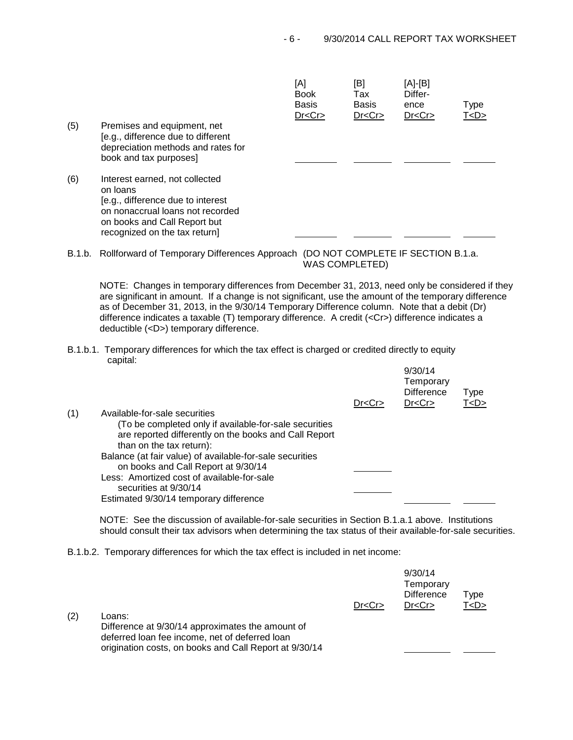|     |                                                                                                                                                                                      | [A]<br><b>Book</b><br><b>Basis</b><br>Dr < Cr | [B]<br>Tax<br><b>Basis</b><br>Dr < Cr | [A]-[B]<br>Differ-<br>ence<br>Dr < Cr | <b>Type</b><br>T < D > |
|-----|--------------------------------------------------------------------------------------------------------------------------------------------------------------------------------------|-----------------------------------------------|---------------------------------------|---------------------------------------|------------------------|
| (5) | Premises and equipment, net<br>[e.g., difference due to different<br>depreciation methods and rates for<br>book and tax purposes]                                                    |                                               |                                       |                                       |                        |
| (6) | Interest earned, not collected<br>on loans<br>[e.g., difference due to interest<br>on nonaccrual loans not recorded<br>on books and Call Report but<br>recognized on the tax return] |                                               |                                       |                                       |                        |

B.1.b. Rollforward of Temporary Differences Approach (DO NOT COMPLETE IF SECTION B.1.a. WAS COMPLETED)

NOTE: Changes in temporary differences from December 31, 2013, need only be considered if they are significant in amount. If a change is not significant, use the amount of the temporary difference as of December 31, 2013, in the 9/30/14 Temporary Difference column. Note that a debit (Dr) difference indicates a taxable (T) temporary difference. A credit (<Cr>) difference indicates a deductible (<D>) temporary difference.

B.1.b.1. Temporary differences for which the tax effect is charged or credited directly to equity capital:

|     |                                                          |         | 9/30/14<br>Temporary<br><b>Difference</b> | <b>Type</b> |  |
|-----|----------------------------------------------------------|---------|-------------------------------------------|-------------|--|
|     | Available-for-sale securities                            | Dr < Cr | Dr < Cr                                   | T < D >     |  |
| (1) |                                                          |         |                                           |             |  |
|     | (To be completed only if available-for-sale securities   |         |                                           |             |  |
|     | are reported differently on the books and Call Report    |         |                                           |             |  |
|     | than on the tax return):                                 |         |                                           |             |  |
|     | Balance (at fair value) of available-for-sale securities |         |                                           |             |  |
|     | on books and Call Report at 9/30/14                      |         |                                           |             |  |
|     | Less: Amortized cost of available-for-sale               |         |                                           |             |  |
|     | securities at 9/30/14                                    |         |                                           |             |  |
|     | Estimated 9/30/14 temporary difference                   |         |                                           |             |  |
|     |                                                          |         |                                           |             |  |

NOTE: See the discussion of available-for-sale securities in Section B.1.a.1 above. Institutions should consult their tax advisors when determining the tax status of their available-for-sale securities.

 $0/20/44$ 

B.1.b.2. Temporary differences for which the tax effect is included in net income:

|     |                                                                                                              | Dr < Cr | <i>JIJUI</i> 17<br>Temporary<br><b>Difference</b><br>Dr < Cr | Type<br>T < D > |  |
|-----|--------------------------------------------------------------------------------------------------------------|---------|--------------------------------------------------------------|-----------------|--|
| (2) | Loans:<br>Difference at 9/30/14 approximates the amount of<br>deferred loan fee income, net of deferred loan |         |                                                              |                 |  |
|     | origination costs, on books and Call Report at 9/30/14                                                       |         |                                                              |                 |  |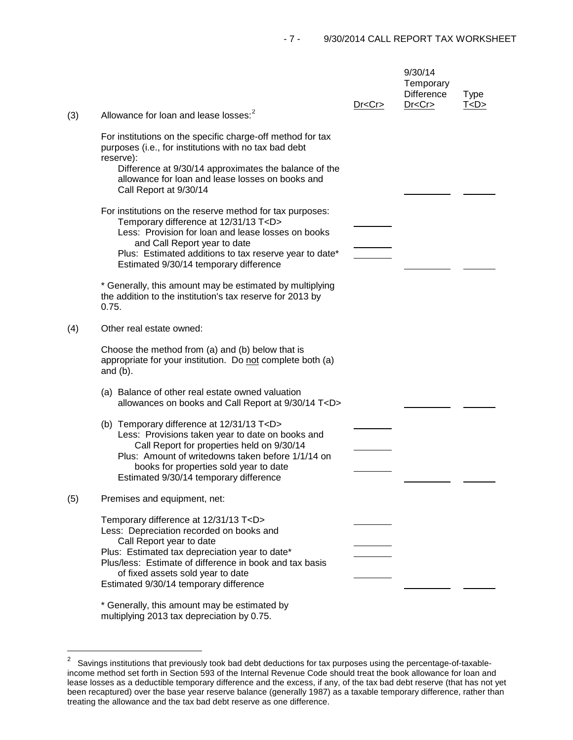| (3) | Allowance for loan and lease losses: <sup>2</sup>                                                                                                                                                                                                                                                                    | Dr < Cr | 9/30/14<br>Temporary<br><b>Difference</b><br>Dr < Cr | <b>Type</b><br><u>T<d></d></u> |
|-----|----------------------------------------------------------------------------------------------------------------------------------------------------------------------------------------------------------------------------------------------------------------------------------------------------------------------|---------|------------------------------------------------------|--------------------------------|
|     | For institutions on the specific charge-off method for tax<br>purposes (i.e., for institutions with no tax bad debt                                                                                                                                                                                                  |         |                                                      |                                |
|     | reserve):<br>Difference at 9/30/14 approximates the balance of the<br>allowance for loan and lease losses on books and<br>Call Report at 9/30/14                                                                                                                                                                     |         |                                                      |                                |
|     | For institutions on the reserve method for tax purposes:<br>Temporary difference at 12/31/13 T <d><br/>Less: Provision for loan and lease losses on books<br/>and Call Report year to date<br/>Plus: Estimated additions to tax reserve year to date*<br/>Estimated 9/30/14 temporary difference</d>                 |         |                                                      |                                |
|     | * Generally, this amount may be estimated by multiplying<br>the addition to the institution's tax reserve for 2013 by<br>0.75.                                                                                                                                                                                       |         |                                                      |                                |
| (4) | Other real estate owned:                                                                                                                                                                                                                                                                                             |         |                                                      |                                |
|     | Choose the method from (a) and (b) below that is<br>appropriate for your institution. Do not complete both (a)<br>and $(b)$ .                                                                                                                                                                                        |         |                                                      |                                |
|     | (a) Balance of other real estate owned valuation<br>allowances on books and Call Report at 9/30/14 T <d></d>                                                                                                                                                                                                         |         |                                                      |                                |
|     | (b) Temporary difference at 12/31/13 T <d><br/>Less: Provisions taken year to date on books and<br/>Call Report for properties held on 9/30/14<br/>Plus: Amount of writedowns taken before 1/1/14 on<br/>books for properties sold year to date<br/>Estimated 9/30/14 temporary difference</d>                       |         |                                                      |                                |
| (5) | Premises and equipment, net:                                                                                                                                                                                                                                                                                         |         |                                                      |                                |
|     | Temporary difference at 12/31/13 T <d><br/>Less: Depreciation recorded on books and<br/>Call Report year to date<br/>Plus: Estimated tax depreciation year to date*<br/>Plus/less: Estimate of difference in book and tax basis<br/>of fixed assets sold year to date<br/>Estimated 9/30/14 temporary difference</d> |         |                                                      |                                |
|     | * Generally, this amount may be estimated by                                                                                                                                                                                                                                                                         |         |                                                      |                                |

multiplying 2013 tax depreciation by 0.75.

<span id="page-6-0"></span> $\overline{\mathbf{c}}$ 2 Savings institutions that previously took bad debt deductions for tax purposes using the percentage-of-taxableincome method set forth in Section 593 of the Internal Revenue Code should treat the book allowance for loan and lease losses as a deductible temporary difference and the excess, if any, of the tax bad debt reserve (that has not yet been recaptured) over the base year reserve balance (generally 1987) as a taxable temporary difference, rather than treating the allowance and the tax bad debt reserve as one difference.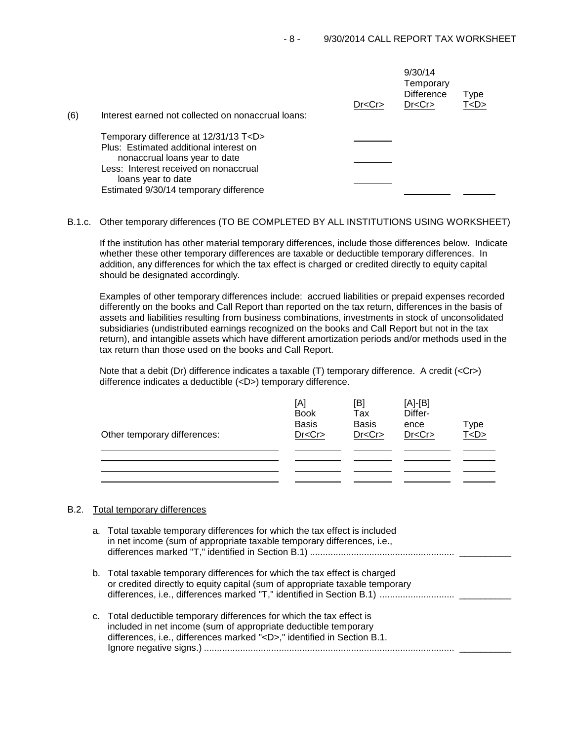|     |                                                                                                                                                                                                                                     | Dr < Cr | 9/30/14<br>Temporary<br><b>Difference</b><br>Dr < Cr | Type<br>T < D > |
|-----|-------------------------------------------------------------------------------------------------------------------------------------------------------------------------------------------------------------------------------------|---------|------------------------------------------------------|-----------------|
| (6) | Interest earned not collected on nonaccrual loans:                                                                                                                                                                                  |         |                                                      |                 |
|     | Temporary difference at 12/31/13 T <d><br/>Plus: Estimated additional interest on<br/>nonaccrual loans year to date<br/>Less: Interest received on nonaccrual<br/>loans year to date<br/>Estimated 9/30/14 temporary difference</d> |         |                                                      |                 |

B.1.c. Other temporary differences (TO BE COMPLETED BY ALL INSTITUTIONS USING WORKSHEET)

If the institution has other material temporary differences, include those differences below. Indicate whether these other temporary differences are taxable or deductible temporary differences. In addition, any differences for which the tax effect is charged or credited directly to equity capital should be designated accordingly.

Examples of other temporary differences include: accrued liabilities or prepaid expenses recorded differently on the books and Call Report than reported on the tax return, differences in the basis of assets and liabilities resulting from business combinations, investments in stock of unconsolidated subsidiaries (undistributed earnings recognized on the books and Call Report but not in the tax return), and intangible assets which have different amortization periods and/or methods used in the tax return than those used on the books and Call Report.

Note that a debit (Dr) difference indicates a taxable (T) temporary difference. A credit (<Cr>> difference indicates a deductible (<D>) temporary difference.

| Other temporary differences: | [A]<br><b>Book</b><br><b>Basis</b><br>Dr < Cr | [B]<br>Tax<br><b>Basis</b><br>Dr < Cr | $[A]-[B]$<br>Differ-<br>ence<br>Dr < Cr | Type<br><u>T<d></d></u> |
|------------------------------|-----------------------------------------------|---------------------------------------|-----------------------------------------|-------------------------|
|                              |                                               |                                       |                                         |                         |
|                              |                                               |                                       |                                         |                         |
|                              |                                               |                                       |                                         |                         |
|                              |                                               |                                       |                                         |                         |

# B.2. Total temporary differences

a. Total taxable temporary differences for which the tax effect is included in net income (sum of appropriate taxable temporary differences, i.e., differences marked "T," identified in Section B.1) ........................................................ \_\_\_\_\_\_\_\_\_\_ b. Total taxable temporary differences for which the tax effect is charged or credited directly to equity capital (sum of appropriate taxable temporary differences, i.e., differences marked "T," identified in Section B.1) ............................. \_\_\_\_\_\_\_\_\_\_ c. Total deductible temporary differences for which the tax effect is included in net income (sum of appropriate deductible temporary differences, i.e., differences marked "<D>," identified in Section B.1.

Ignore negative signs.) ................................................................................................. \_\_\_\_\_\_\_\_\_\_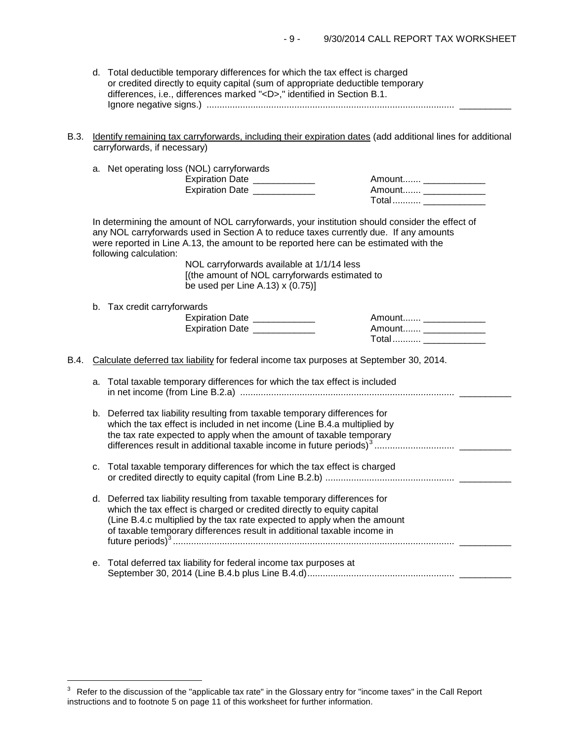- d. Total deductible temporary differences for which the tax effect is charged or credited directly to equity capital (sum of appropriate deductible temporary differences, i.e., differences marked "<D>," identified in Section B.1. Ignore negative signs.) ................................................................................................ \_\_\_\_\_\_\_\_\_\_
- B.3. Identify remaining tax carryforwards, including their expiration dates (add additional lines for additional carryforwards, if necessary)

|  |  |  | a. Net operating loss (NOL) carryforwards |
|--|--|--|-------------------------------------------|
|--|--|--|-------------------------------------------|

Expiration Date \_\_\_\_\_\_\_\_\_\_\_\_ Amount....... \_\_\_\_\_\_\_\_\_\_\_\_ Expiration Date \_\_\_\_\_\_\_\_\_\_\_\_ Amount....... \_\_\_\_\_\_\_\_\_\_\_\_

| Amount |  |
|--------|--|
| Amount |  |
| Total  |  |

In determining the amount of NOL carryforwards, your institution should consider the effect of any NOL carryforwards used in Section A to reduce taxes currently due. If any amounts were reported in Line A.13, the amount to be reported here can be estimated with the following calculation:

> NOL carryforwards available at 1/1/14 less [(the amount of NOL carryforwards estimated to be used per Line A.13) x (0.75)]

b. Tax credit carryforwards

i<br>I

| <b>Expiration Date</b> | Amount  |
|------------------------|---------|
| <b>Expiration Date</b> | Amount  |
|                        | $Total$ |

B.4. Calculate deferred tax liability for federal income tax purposes at September 30, 2014.

| a. Total taxable temporary differences for which the tax effect is included |  |
|-----------------------------------------------------------------------------|--|
|                                                                             |  |

- b. Deferred tax liability resulting from taxable temporary differences for which the tax effect is included in net income (Line B.4.a multiplied by the tax rate expected to apply when the amount of taxable temporary differences result in additional taxable income in future periods)[3](#page-8-0) ............................... \_\_\_\_\_\_\_\_\_\_
- c. Total taxable temporary differences for which the tax effect is charged or credited directly to equity capital (from Line B.2.b) .................................................. \_\_\_\_\_\_\_\_\_\_
- d. Deferred tax liability resulting from taxable temporary differences for which the tax effect is charged or credited directly to equity capital (Line B.4.c multiplied by the tax rate expected to apply when the amount of taxable temporary differences result in additional taxable income in future periods)<sup>3</sup> ............................................................................................................. \_\_\_\_\_\_\_\_\_\_
- e. Total deferred tax liability for federal income tax purposes at September 30, 2014 (Line B.4.b plus Line B.4.d)......................................................... \_\_\_\_\_\_\_\_\_\_

<span id="page-8-0"></span> $3$  Refer to the discussion of the "applicable tax rate" in the Glossary entry for "income taxes" in the Call Report instructions and to footnote 5 on page 11 of this worksheet for further information.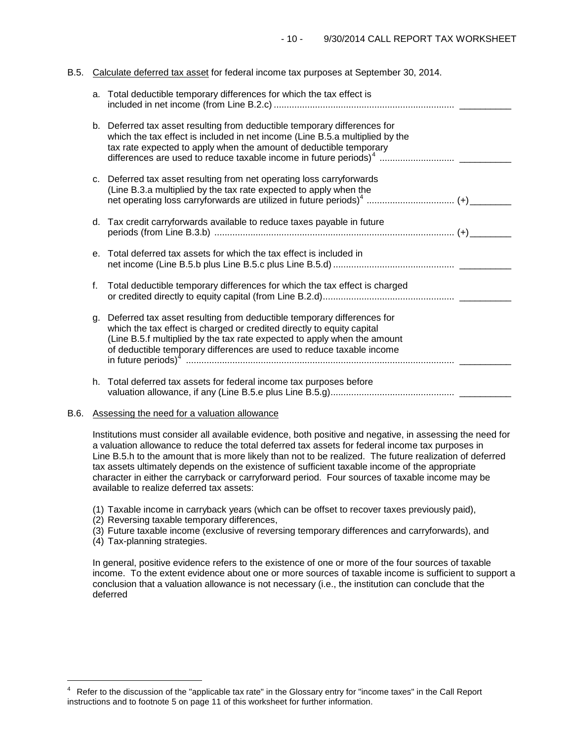# B.5. Calculate deferred tax asset for federal income tax purposes at September 30, 2014.

|         | a. Total deductible temporary differences for which the tax effect is                                                                                                                                                                                                                                 |  |
|---------|-------------------------------------------------------------------------------------------------------------------------------------------------------------------------------------------------------------------------------------------------------------------------------------------------------|--|
|         | b. Deferred tax asset resulting from deductible temporary differences for<br>which the tax effect is included in net income (Line B.5.a multiplied by the<br>tax rate expected to apply when the amount of deductible temporary                                                                       |  |
|         | c. Deferred tax asset resulting from net operating loss carryforwards<br>(Line B.3.a multiplied by the tax rate expected to apply when the                                                                                                                                                            |  |
|         | d. Tax credit carryforwards available to reduce taxes payable in future                                                                                                                                                                                                                               |  |
| $e_{1}$ | Total deferred tax assets for which the tax effect is included in                                                                                                                                                                                                                                     |  |
| f.      | Total deductible temporary differences for which the tax effect is charged                                                                                                                                                                                                                            |  |
| q.      | Deferred tax asset resulting from deductible temporary differences for<br>which the tax effect is charged or credited directly to equity capital<br>(Line B.5.f multiplied by the tax rate expected to apply when the amount<br>of deductible temporary differences are used to reduce taxable income |  |
|         | h. Total deferred tax assets for federal income tax purposes before                                                                                                                                                                                                                                   |  |

# B.6. Assessing the need for a valuation allowance

Institutions must consider all available evidence, both positive and negative, in assessing the need for a valuation allowance to reduce the total deferred tax assets for federal income tax purposes in Line B.5.h to the amount that is more likely than not to be realized. The future realization of deferred tax assets ultimately depends on the existence of sufficient taxable income of the appropriate character in either the carryback or carryforward period. Four sources of taxable income may be available to realize deferred tax assets:

- (1) Taxable income in carryback years (which can be offset to recover taxes previously paid),
- (2) Reversing taxable temporary differences,
- (3) Future taxable income (exclusive of reversing temporary differences and carryforwards), and
- (4) Tax-planning strategies.

i<br>I

In general, positive evidence refers to the existence of one or more of the four sources of taxable income. To the extent evidence about one or more sources of taxable income is sufficient to support a conclusion that a valuation allowance is not necessary (i.e., the institution can conclude that the deferred

<span id="page-9-0"></span>Refer to the discussion of the "applicable tax rate" in the Glossary entry for "income taxes" in the Call Report instructions and to footnote 5 on page 11 of this worksheet for further information.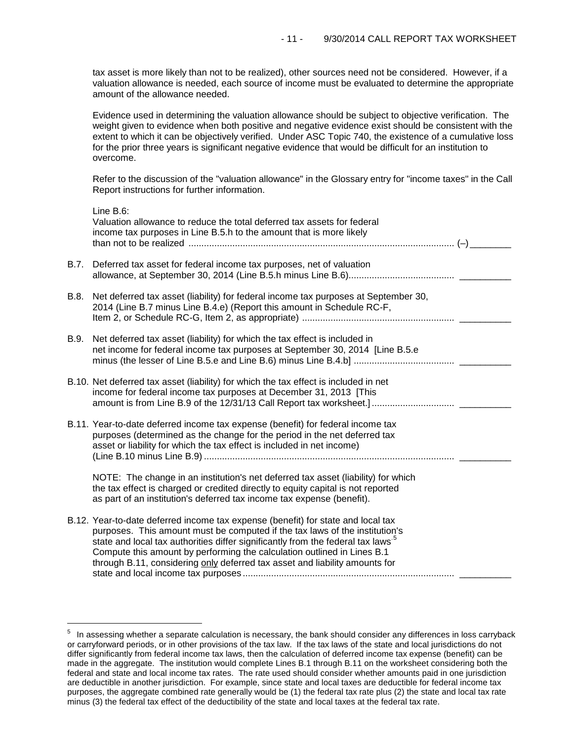tax asset is more likely than not to be realized), other sources need not be considered. However, if a valuation allowance is needed, each source of income must be evaluated to determine the appropriate amount of the allowance needed.

Evidence used in determining the valuation allowance should be subject to objective verification. The weight given to evidence when both positive and negative evidence exist should be consistent with the extent to which it can be objectively verified. Under ASC Topic 740, the existence of a cumulative loss for the prior three years is significant negative evidence that would be difficult for an institution to overcome.

Refer to the discussion of the "valuation allowance" in the Glossary entry for "income taxes" in the Call Report instructions for further information.

|      | Line B.6:<br>Valuation allowance to reduce the total deferred tax assets for federal<br>income tax purposes in Line B.5.h to the amount that is more likely                                                                                                                                                                                                                                                              |
|------|--------------------------------------------------------------------------------------------------------------------------------------------------------------------------------------------------------------------------------------------------------------------------------------------------------------------------------------------------------------------------------------------------------------------------|
| B.7. | Deferred tax asset for federal income tax purposes, net of valuation                                                                                                                                                                                                                                                                                                                                                     |
| B.8. | Net deferred tax asset (liability) for federal income tax purposes at September 30,<br>2014 (Line B.7 minus Line B.4.e) (Report this amount in Schedule RC-F,                                                                                                                                                                                                                                                            |
| B.9. | Net deferred tax asset (liability) for which the tax effect is included in<br>net income for federal income tax purposes at September 30, 2014 [Line B.5.e                                                                                                                                                                                                                                                               |
|      | B.10. Net deferred tax asset (liability) for which the tax effect is included in net<br>income for federal income tax purposes at December 31, 2013 [This                                                                                                                                                                                                                                                                |
|      | B.11. Year-to-date deferred income tax expense (benefit) for federal income tax<br>purposes (determined as the change for the period in the net deferred tax<br>asset or liability for which the tax effect is included in net income)                                                                                                                                                                                   |
|      | NOTE: The change in an institution's net deferred tax asset (liability) for which<br>the tax effect is charged or credited directly to equity capital is not reported<br>as part of an institution's deferred tax income tax expense (benefit).                                                                                                                                                                          |
|      | B.12. Year-to-date deferred income tax expense (benefit) for state and local tax<br>purposes. This amount must be computed if the tax laws of the institution's<br>state and local tax authorities differ significantly from the federal tax laws <sup>5</sup><br>Compute this amount by performing the calculation outlined in Lines B.1<br>through B.11, considering only deferred tax asset and liability amounts for |

i<br>L

<span id="page-10-0"></span> $5$  In assessing whether a separate calculation is necessary, the bank should consider any differences in loss carryback or carryforward periods, or in other provisions of the tax law. If the tax laws of the state and local jurisdictions do not differ significantly from federal income tax laws, then the calculation of deferred income tax expense (benefit) can be made in the aggregate. The institution would complete Lines B.1 through B.11 on the worksheet considering both the federal and state and local income tax rates. The rate used should consider whether amounts paid in one jurisdiction are deductible in another jurisdiction. For example, since state and local taxes are deductible for federal income tax purposes, the aggregate combined rate generally would be (1) the federal tax rate plus (2) the state and local tax rate minus (3) the federal tax effect of the deductibility of the state and local taxes at the federal tax rate.